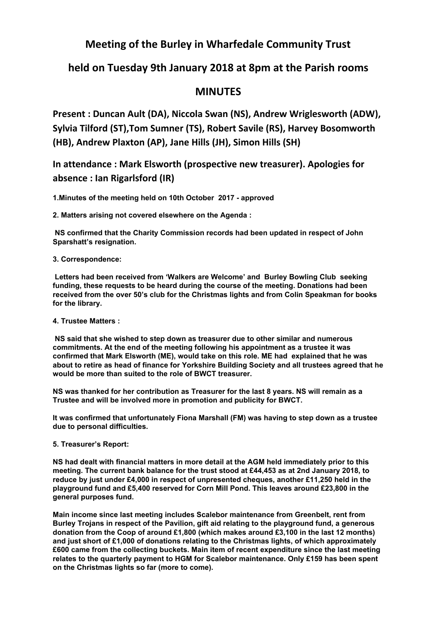## **Meeting of the Burley in Wharfedale Community Trust**

# **held on Tuesday 9th January 2018 at 8pm at the Parish rooms**

## **MINUTES**

**Present : Duncan Ault (DA), Niccola Swan (NS), Andrew Wriglesworth (ADW), Sylvia Tilford (ST),Tom Sumner (TS), Robert Savile (RS), Harvey Bosomworth (HB), Andrew Plaxton (AP), Jane Hills (JH), Simon Hills (SH)**

**In attendance : Mark Elsworth (prospective new treasurer). Apologies for absence : Ian Rigarlsford (IR)**

**1.Minutes of the meeting held on 10th October 2017 - approved**

**2. Matters arising not covered elsewhere on the Agenda :**

**NS confirmed that the Charity Commission records had been updated in respect of John Sparshatt's resignation.**

### **3. Correspondence:**

**Letters had been received from 'Walkers are Welcome' and Burley Bowling Club seeking funding, these requests to be heard during the course of the meeting. Donations had been received from the over 50's club for the Christmas lights and from Colin Speakman for books for the library.**

### **4. Trustee Matters :**

**NS said that she wished to step down as treasurer due to other similar and numerous commitments. At the end of the meeting following his appointment as a trustee it was confirmed that Mark Elsworth (ME), would take on this role. ME had explained that he was about to retire as head of finance for Yorkshire Building Society and all trustees agreed that he would be more than suited to the role of BWCT treasurer.**

**NS was thanked for her contribution as Treasurer for the last 8 years. NS will remain as a Trustee and will be involved more in promotion and publicity for BWCT.**

**It was confirmed that unfortunately Fiona Marshall (FM) was having to step down as a trustee due to personal difficulties.**

## **5. Treasurer's Report:**

**NS had dealt with financial matters in more detail at the AGM held immediately prior to this meeting. The current bank balance for the trust stood at £44,453 as at 2nd January 2018, to reduce by just under £4,000 in respect of unpresented cheques, another £11,250 held in the playground fund and £5,400 reserved for Corn Mill Pond. This leaves around £23,800 in the general purposes fund.**

**Main income since last meeting includes Scalebor maintenance from Greenbelt, rent from Burley Trojans in respect of the Pavilion, gift aid relating to the playground fund, a generous donation from the Coop of around £1,800 (which makes around £3,100 in the last 12 months) and just short of £1,000 of donations relating to the Christmas lights, of which approximately £600 came from the collecting buckets. Main item of recent expenditure since the last meeting relates to the quarterly payment to HGM for Scalebor maintenance. Only £159 has been spent on the Christmas lights so far (more to come).**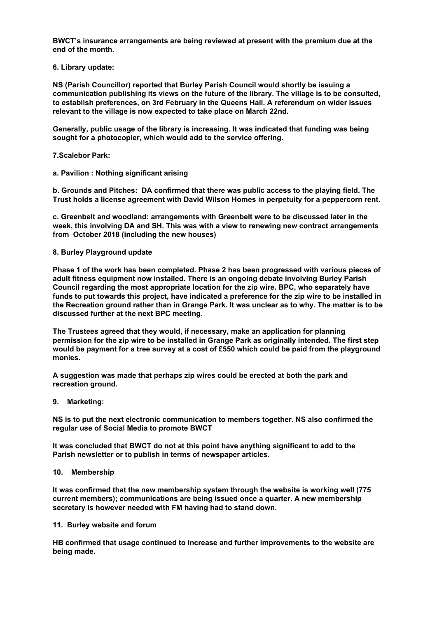**BWCT's insurance arrangements are being reviewed at present with the premium due at the end of the month.**

**6. Library update:**

**NS (Parish Councillor) reported that Burley Parish Council would shortly be issuing a communication publishing its views on the future of the library. The village is to be consulted, to establish preferences, on 3rd February in the Queens Hall. A referendum on wider issues relevant to the village is now expected to take place on March 22nd.**

**Generally, public usage of the library is increasing. It was indicated that funding was being sought for a photocopier, which would add to the service offering.**

**7.Scalebor Park:**

**a. Pavilion : Nothing significant arising**

**b. Grounds and Pitches: DA confirmed that there was public access to the playing field. The Trust holds a license agreement with David Wilson Homes in perpetuity for a peppercorn rent.**

**c. Greenbelt and woodland: arrangements with Greenbelt were to be discussed later in the week, this involving DA and SH. This was with a view to renewing new contract arrangements from October 2018 (including the new houses)**

#### **8. Burley Playground update**

**Phase 1 of the work has been completed. Phase 2 has been progressed with various pieces of adult fitness equipment now installed. There is an ongoing debate involving Burley Parish Council regarding the most appropriate location for the zip wire. BPC, who separately have funds to put towards this project, have indicated a preference for the zip wire to be installed in** the Recreation ground rather than in Grange Park. It was unclear as to why. The matter is to be **discussed further at the next BPC meeting.**

**The Trustees agreed that they would, if necessary, make an application for planning permission for the zip wire to be installed in Grange Park as originally intended. The first step** would be payment for a tree survey at a cost of £550 which could be paid from the playground **monies.**

**A suggestion was made that perhaps zip wires could be erected at both the park and recreation ground.**

**9. Marketing:**

**NS is to put the next electronic communication to members together. NS also confirmed the regular use of Social Media to promote BWCT**

**It was concluded that BWCT do not at this point have anything significant to add to the Parish newsletter or to publish in terms of newspaper articles.**

#### **10. Membership**

**It was confirmed that the new membership system through the website is working well (775 current members); communications are being issued once a quarter. A new membership secretary is however needed with FM having had to stand down.**

#### **11. Burley website and forum**

**HB confirmed that usage continued to increase and further improvements to the website are being made.**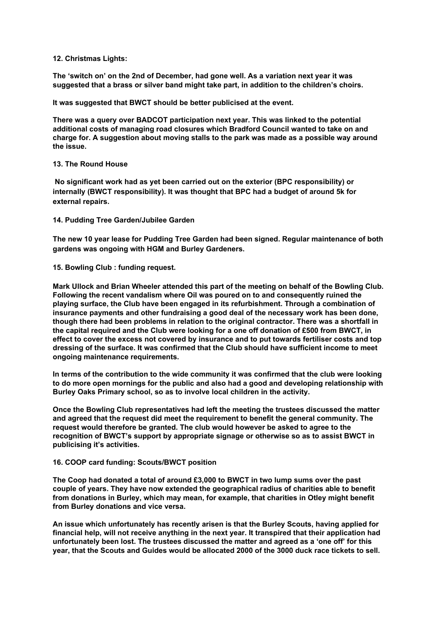#### **12. Christmas Lights:**

**The 'switch on' on the 2nd of December, had gone well. As a variation next year it was suggested that a brass or silver band might take part, in addition to the children's choirs.**

**It was suggested that BWCT should be better publicised at the event.**

**There was a query over BADCOT participation next year. This was linked to the potential additional costs of managing road closures which Bradford Council wanted to take on and charge for. A suggestion about moving stalls to the park was made as a possible way around the issue.**

#### **13. The Round House**

**No significant work had as yet been carried out on the exterior (BPC responsibility) or internally (BWCT responsibility). It was thought that BPC had a budget of around 5k for external repairs.**

**14. Pudding Tree Garden/Jubilee Garden**

**The new 10 year lease for Pudding Tree Garden had been signed. Regular maintenance of both gardens was ongoing with HGM and Burley Gardeners.**

**15. Bowling Club : funding request.**

**Mark Ullock and Brian Wheeler attended this part of the meeting on behalf of the Bowling Club. Following the recent vandalism where Oil was poured on to and consequently ruined the playing surface, the Club have been engaged in its refurbishment. Through a combination of insurance payments and other fundraising a good deal of the necessary work has been done, though there had been problems in relation to the original contractor. There was a shortfall in the capital required and the Club were looking for a one off donation of £500 from BWCT, in effect to cover the excess not covered by insurance and to put towards fertiliser costs and top dressing of the surface. It was confirmed that the Club should have sufficient income to meet ongoing maintenance requirements.**

**In terms of the contribution to the wide community it was confirmed that the club were looking to do more open mornings for the public and also had a good and developing relationship with Burley Oaks Primary school, so as to involve local children in the activity.**

**Once the Bowling Club representatives had left the meeting the trustees discussed the matter and agreed that the request did meet the requirement to benefit the general community. The request would therefore be granted. The club would however be asked to agree to the recognition of BWCT's support by appropriate signage or otherwise so as to assist BWCT in publicising it's activities.**

#### **16. COOP card funding: Scouts/BWCT position**

**The Coop had donated a total of around £3,000 to BWCT in two lump sums over the past couple of years. They have now extended the geographical radius of charities able to benefit from donations in Burley, which may mean, for example, that charities in Otley might benefit from Burley donations and vice versa.**

**An issue which unfortunately has recently arisen is that the Burley Scouts, having applied for financial help, will not receive anything in the next year. It transpired that their application had unfortunately been lost. The trustees discussed the matter and agreed as a 'one off' for this year, that the Scouts and Guides would be allocated 2000 of the 3000 duck race tickets to sell.**